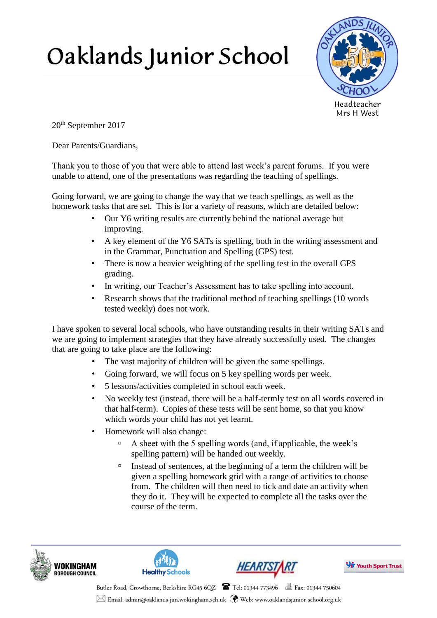## Oaklands Junior School



20th September 2017

Dear Parents/Guardians,

Thank you to those of you that were able to attend last week's parent forums. If you were unable to attend, one of the presentations was regarding the teaching of spellings.

Going forward, we are going to change the way that we teach spellings, as well as the homework tasks that are set. This is for a variety of reasons, which are detailed below:

- Our Y6 writing results are currently behind the national average but improving.
- A key element of the Y6 SATs is spelling, both in the writing assessment and in the Grammar, Punctuation and Spelling (GPS) test.
- There is now a heavier weighting of the spelling test in the overall GPS grading.
- In writing, our Teacher's Assessment has to take spelling into account.
- Research shows that the traditional method of teaching spellings (10 words tested weekly) does not work.

I have spoken to several local schools, who have outstanding results in their writing SATs and we are going to implement strategies that they have already successfully used. The changes that are going to take place are the following:

- The vast majority of children will be given the same spellings.
- Going forward, we will focus on 5 key spelling words per week.
- 5 lessons/activities completed in school each week.
- No weekly test (instead, there will be a half-termly test on all words covered in that half-term). Copies of these tests will be sent home, so that you know which words your child has not yet learnt.
- Homework will also change:
	- A sheet with the 5 spelling words (and, if applicable, the week's spelling pattern) will be handed out weekly.
	- Instead of sentences, at the beginning of a term the children will be given a spelling homework grid with a range of activities to choose from. The children will then need to tick and date an activity when they do it. They will be expected to complete all the tasks over the course of the term.









Butler Road, Crowthorne, Berkshire RG45 6QZ Tel: 01344-773496 Fax: 01344-750604  $\boxtimes$  Email: admin@oaklands-jun.wokingham.sch.uk  $\bigcirc$  Web: www.oaklandsjunior-school.org.uk